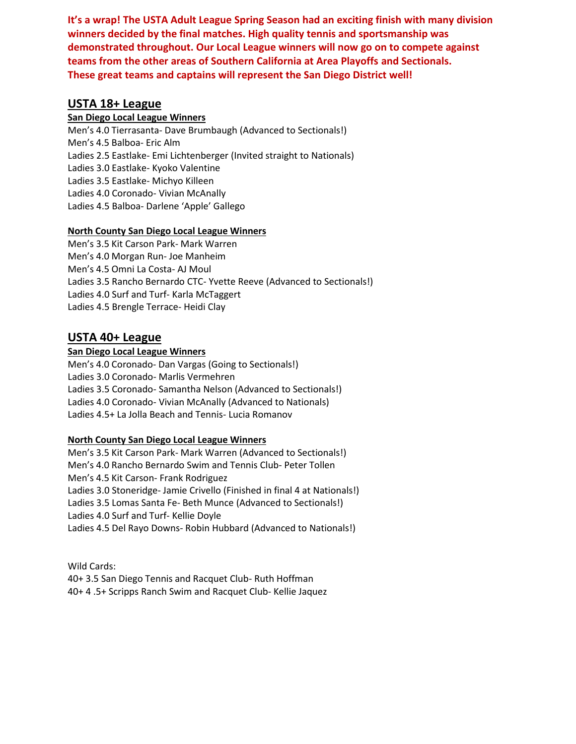**It's a wrap! The USTA Adult League Spring Season had an exciting finish with many division winners decided by the final matches. High quality tennis and sportsmanship was demonstrated throughout. Our Local League winners will now go on to compete against teams from the other areas of Southern California at Area Playoffs and Sectionals. These great teams and captains will represent the San Diego District well!** 

### **USTA 18+ League**

#### **San Diego Local League Winners**

Men's 4.0 Tierrasanta- Dave Brumbaugh (Advanced to Sectionals!) Men's 4.5 Balboa- Eric Alm Ladies 2.5 Eastlake- Emi Lichtenberger (Invited straight to Nationals) Ladies 3.0 Eastlake- Kyoko Valentine Ladies 3.5 Eastlake- Michyo Killeen Ladies 4.0 Coronado- Vivian McAnally Ladies 4.5 Balboa- Darlene 'Apple' Gallego

#### **North County San Diego Local League Winners**

Men's 3.5 Kit Carson Park- Mark Warren Men's 4.0 Morgan Run- Joe Manheim Men's 4.5 Omni La Costa- AJ Moul Ladies 3.5 Rancho Bernardo CTC- Yvette Reeve (Advanced to Sectionals!) Ladies 4.0 Surf and Turf- Karla McTaggert Ladies 4.5 Brengle Terrace- Heidi Clay

### **USTA 40+ League**

#### **San Diego Local League Winners**

Men's 4.0 Coronado- Dan Vargas (Going to Sectionals!) Ladies 3.0 Coronado- Marlis Vermehren Ladies 3.5 Coronado- Samantha Nelson (Advanced to Sectionals!) Ladies 4.0 Coronado- Vivian McAnally (Advanced to Nationals) Ladies 4.5+ La Jolla Beach and Tennis- Lucia Romanov

#### **North County San Diego Local League Winners**

Men's 3.5 Kit Carson Park- Mark Warren (Advanced to Sectionals!) Men's 4.0 Rancho Bernardo Swim and Tennis Club- Peter Tollen Men's 4.5 Kit Carson- Frank Rodriguez Ladies 3.0 Stoneridge- Jamie Crivello (Finished in final 4 at Nationals!) Ladies 3.5 Lomas Santa Fe- Beth Munce (Advanced to Sectionals!) Ladies 4.0 Surf and Turf- Kellie Doyle Ladies 4.5 Del Rayo Downs- Robin Hubbard (Advanced to Nationals!)

Wild Cards: 40+ 3.5 San Diego Tennis and Racquet Club- Ruth Hoffman 40+ 4 .5+ Scripps Ranch Swim and Racquet Club- Kellie Jaquez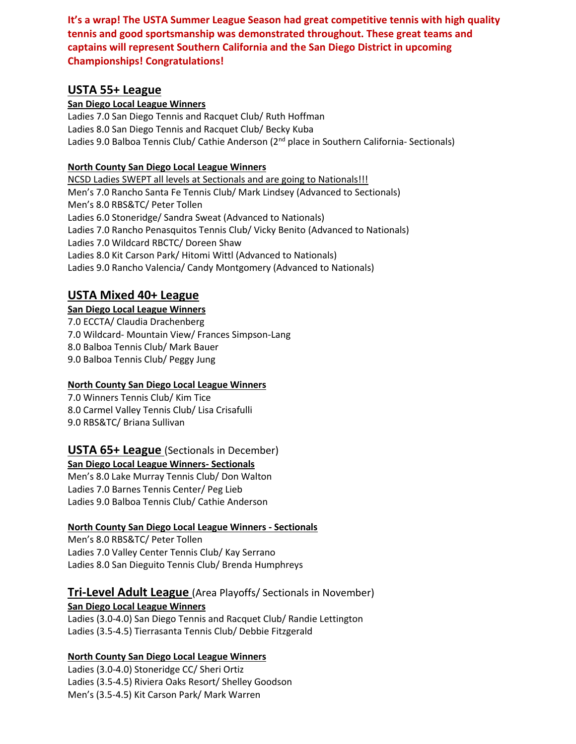**It's a wrap! The USTA Summer League Season had great competitive tennis with high quality tennis and good sportsmanship was demonstrated throughout. These great teams and captains will represent Southern California and the San Diego District in upcoming Championships! Congratulations!**

### **USTA 55+ League**

#### **San Diego Local League Winners**

Ladies 7.0 San Diego Tennis and Racquet Club/ Ruth Hoffman Ladies 8.0 San Diego Tennis and Racquet Club/ Becky Kuba Ladies 9.0 Balboa Tennis Club/ Cathie Anderson ( $2<sup>nd</sup>$  place in Southern California- Sectionals)

#### **North County San Diego Local League Winners**

NCSD Ladies SWEPT all levels at Sectionals and are going to Nationals!!! Men's 7.0 Rancho Santa Fe Tennis Club/ Mark Lindsey (Advanced to Sectionals) Men's 8.0 RBS&TC/ Peter Tollen Ladies 6.0 Stoneridge/ Sandra Sweat (Advanced to Nationals) Ladies 7.0 Rancho Penasquitos Tennis Club/ Vicky Benito (Advanced to Nationals) Ladies 7.0 Wildcard RBCTC/ Doreen Shaw Ladies 8.0 Kit Carson Park/ Hitomi Wittl (Advanced to Nationals) Ladies 9.0 Rancho Valencia/ Candy Montgomery (Advanced to Nationals)

### **USTA Mixed 40+ League**

**San Diego Local League Winners** 7.0 ECCTA/ Claudia Drachenberg 7.0 Wildcard- Mountain View/ Frances Simpson-Lang 8.0 Balboa Tennis Club/ Mark Bauer 9.0 Balboa Tennis Club/ Peggy Jung

#### **North County San Diego Local League Winners**

7.0 Winners Tennis Club/ Kim Tice 8.0 Carmel Valley Tennis Club/ Lisa Crisafulli 9.0 RBS&TC/ Briana Sullivan

### **USTA 65+ League** (Sectionals in December)

**San Diego Local League Winners- Sectionals**

Men's 8.0 Lake Murray Tennis Club/ Don Walton Ladies 7.0 Barnes Tennis Center/ Peg Lieb Ladies 9.0 Balboa Tennis Club/ Cathie Anderson

#### **North County San Diego Local League Winners - Sectionals**

Men's 8.0 RBS&TC/ Peter Tollen Ladies 7.0 Valley Center Tennis Club/ Kay Serrano Ladies 8.0 San Dieguito Tennis Club/ Brenda Humphreys

### **Tri-Level Adult League** (Area Playoffs/ Sectionals in November)

#### **San Diego Local League Winners**

Ladies (3.0-4.0) San Diego Tennis and Racquet Club/ Randie Lettington Ladies (3.5-4.5) Tierrasanta Tennis Club/ Debbie Fitzgerald

#### **North County San Diego Local League Winners**

Ladies (3.0-4.0) Stoneridge CC/ Sheri Ortiz Ladies (3.5-4.5) Riviera Oaks Resort/ Shelley Goodson Men's (3.5-4.5) Kit Carson Park/ Mark Warren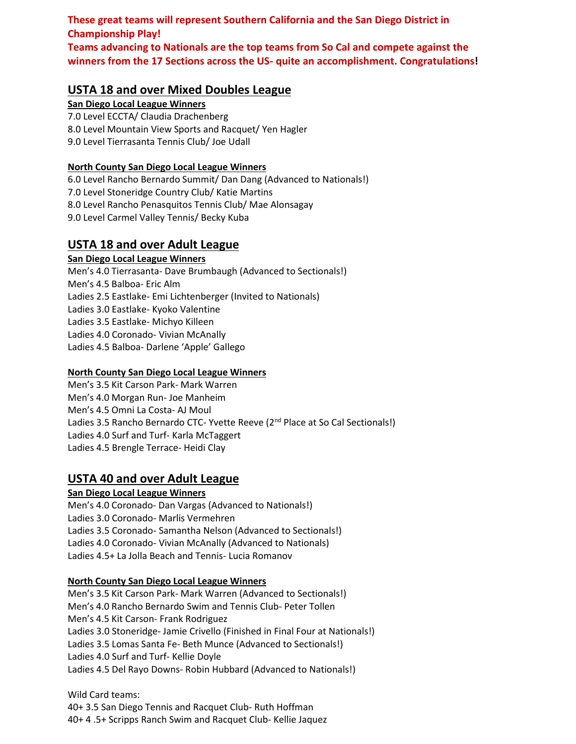**These great teams will represent Southern California and the San Diego District in Championship Play! Teams advancing to Nationals are the top teams from So Cal and compete against the winners from the 17 Sections across the US- quite an accomplishment. Congratulations!**

### **USTA 18 and over Mixed Doubles League**

**San Diego Local League Winners** 7.0 Level ECCTA/ Claudia Drachenberg 8.0 Level Mountain View Sports and Racquet/ Yen Hagler 9.0 Level Tierrasanta Tennis Club/ Joe Udall

#### **North County San Diego Local League Winners**

6.0 Level Rancho Bernardo Summit/ Dan Dang (Advanced to Nationals!) 7.0 Level Stoneridge Country Club/ Katie Martins 8.0 Level Rancho Penasquitos Tennis Club/ Mae Alonsagay 9.0 Level Carmel Valley Tennis/ Becky Kuba

## **USTA 18 and over Adult League**

#### **San Diego Local League Winners**

Men's 4.0 Tierrasanta- Dave Brumbaugh (Advanced to Sectionals!) Men's 4.5 Balboa- Eric Alm Ladies 2.5 Eastlake- Emi Lichtenberger (Invited to Nationals) Ladies 3.0 Eastlake- Kyoko Valentine Ladies 3.5 Eastlake- Michyo Killeen Ladies 4.0 Coronado- Vivian McAnally Ladies 4.5 Balboa- Darlene 'Apple' Gallego

#### **North County San Diego Local League Winners**

Men's 3.5 Kit Carson Park- Mark Warren Men's 4.0 Morgan Run- Joe Manheim Men's 4.5 Omni La Costa- AJ Moul Ladies 3.5 Rancho Bernardo CTC- Yvette Reeve (2<sup>nd</sup> Place at So Cal Sectionals!) Ladies 4.0 Surf and Turf- Karla McTaggert Ladies 4.5 Brengle Terrace- Heidi Clay

### **USTA 40 and over Adult League**

#### **San Diego Local League Winners**

Men's 4.0 Coronado- Dan Vargas (Advanced to Nationals!) Ladies 3.0 Coronado- Marlis Vermehren Ladies 3.5 Coronado- Samantha Nelson (Advanced to Sectionals!) Ladies 4.0 Coronado- Vivian McAnally (Advanced to Nationals) Ladies 4.5+ La Jolla Beach and Tennis- Lucia Romanov

#### **North County San Diego Local League Winners**

Men's 3.5 Kit Carson Park- Mark Warren (Advanced to Sectionals!) Men's 4.0 Rancho Bernardo Swim and Tennis Club- Peter Tollen Men's 4.5 Kit Carson- Frank Rodriguez Ladies 3.0 Stoneridge- Jamie Crivello (Finished in Final Four at Nationals!) Ladies 3.5 Lomas Santa Fe- Beth Munce (Advanced to Sectionals!) Ladies 4.0 Surf and Turf- Kellie Doyle Ladies 4.5 Del Rayo Downs- Robin Hubbard (Advanced to Nationals!)

Wild Card teams: 40+ 3.5 San Diego Tennis and Racquet Club- Ruth Hoffman 40+ 4 .5+ Scripps Ranch Swim and Racquet Club- Kellie Jaquez